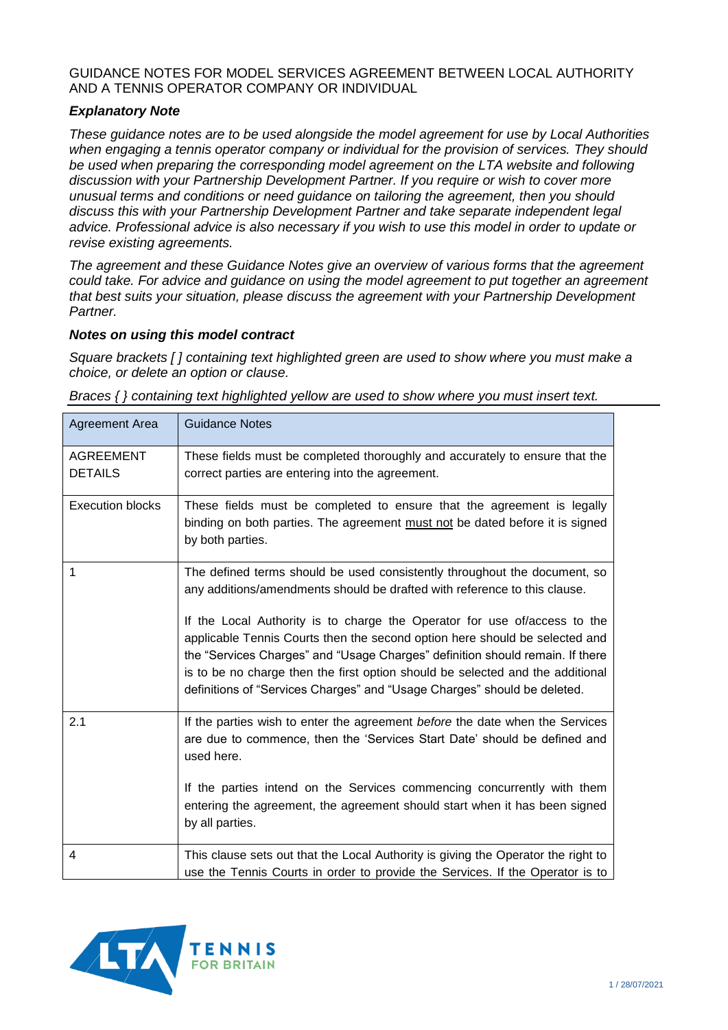## GUIDANCE NOTES FOR MODEL SERVICES AGREEMENT BETWEEN LOCAL AUTHORITY AND A TENNIS OPERATOR COMPANY OR INDIVIDUAL

## *Explanatory Note*

*These guidance notes are to be used alongside the model agreement for use by Local Authorities when engaging a tennis operator company or individual for the provision of services. They should be used when preparing the corresponding model agreement on the LTA website and following discussion with your Partnership Development Partner. If you require or wish to cover more unusual terms and conditions or need guidance on tailoring the agreement, then you should discuss this with your Partnership Development Partner and take separate independent legal advice. Professional advice is also necessary if you wish to use this model in order to update or revise existing agreements.*

*The agreement and these Guidance Notes give an overview of various forms that the agreement could take. For advice and guidance on using the model agreement to put together an agreement that best suits your situation, please discuss the agreement with your Partnership Development Partner.*

## *Notes on using this model contract*

*Square brackets [ ] containing text highlighted green are used to show where you must make a choice, or delete an option or clause.*

*Braces { } containing text highlighted yellow are used to show where you must insert text.*

| <b>Agreement Area</b>              | <b>Guidance Notes</b>                                                                                                                                                                                                                                                                                                                                                                                                                                                                                                                                             |
|------------------------------------|-------------------------------------------------------------------------------------------------------------------------------------------------------------------------------------------------------------------------------------------------------------------------------------------------------------------------------------------------------------------------------------------------------------------------------------------------------------------------------------------------------------------------------------------------------------------|
| <b>AGREEMENT</b><br><b>DETAILS</b> | These fields must be completed thoroughly and accurately to ensure that the<br>correct parties are entering into the agreement.                                                                                                                                                                                                                                                                                                                                                                                                                                   |
| <b>Execution blocks</b>            | These fields must be completed to ensure that the agreement is legally<br>binding on both parties. The agreement must not be dated before it is signed<br>by both parties.                                                                                                                                                                                                                                                                                                                                                                                        |
| 1                                  | The defined terms should be used consistently throughout the document, so<br>any additions/amendments should be drafted with reference to this clause.<br>If the Local Authority is to charge the Operator for use of/access to the<br>applicable Tennis Courts then the second option here should be selected and<br>the "Services Charges" and "Usage Charges" definition should remain. If there<br>is to be no charge then the first option should be selected and the additional<br>definitions of "Services Charges" and "Usage Charges" should be deleted. |
| 2.1                                | If the parties wish to enter the agreement before the date when the Services<br>are due to commence, then the 'Services Start Date' should be defined and<br>used here.<br>If the parties intend on the Services commencing concurrently with them<br>entering the agreement, the agreement should start when it has been signed<br>by all parties.                                                                                                                                                                                                               |
| 4                                  | This clause sets out that the Local Authority is giving the Operator the right to<br>use the Tennis Courts in order to provide the Services. If the Operator is to                                                                                                                                                                                                                                                                                                                                                                                                |

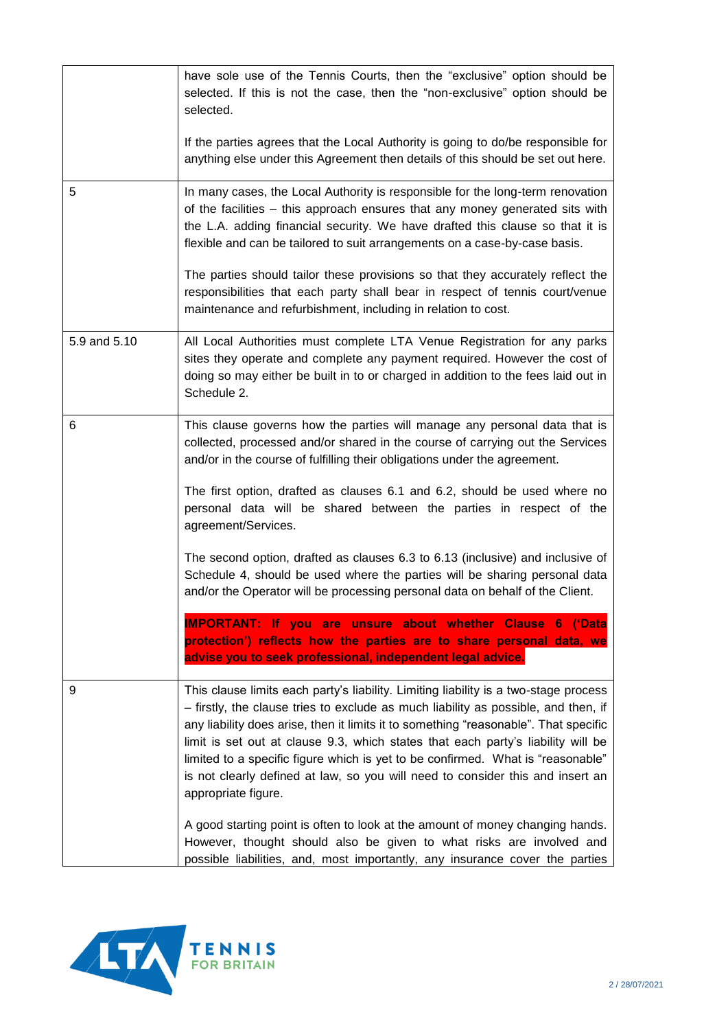|              | have sole use of the Tennis Courts, then the "exclusive" option should be<br>selected. If this is not the case, then the "non-exclusive" option should be<br>selected.                                                                                                                                                                                                                                                                                                                                                                             |
|--------------|----------------------------------------------------------------------------------------------------------------------------------------------------------------------------------------------------------------------------------------------------------------------------------------------------------------------------------------------------------------------------------------------------------------------------------------------------------------------------------------------------------------------------------------------------|
|              | If the parties agrees that the Local Authority is going to do/be responsible for<br>anything else under this Agreement then details of this should be set out here.                                                                                                                                                                                                                                                                                                                                                                                |
| 5            | In many cases, the Local Authority is responsible for the long-term renovation<br>of the facilities - this approach ensures that any money generated sits with<br>the L.A. adding financial security. We have drafted this clause so that it is<br>flexible and can be tailored to suit arrangements on a case-by-case basis.                                                                                                                                                                                                                      |
|              | The parties should tailor these provisions so that they accurately reflect the<br>responsibilities that each party shall bear in respect of tennis court/venue<br>maintenance and refurbishment, including in relation to cost.                                                                                                                                                                                                                                                                                                                    |
| 5.9 and 5.10 | All Local Authorities must complete LTA Venue Registration for any parks<br>sites they operate and complete any payment required. However the cost of<br>doing so may either be built in to or charged in addition to the fees laid out in<br>Schedule 2.                                                                                                                                                                                                                                                                                          |
| 6            | This clause governs how the parties will manage any personal data that is<br>collected, processed and/or shared in the course of carrying out the Services<br>and/or in the course of fulfilling their obligations under the agreement.                                                                                                                                                                                                                                                                                                            |
|              | The first option, drafted as clauses 6.1 and 6.2, should be used where no<br>personal data will be shared between the parties in respect of the<br>agreement/Services.                                                                                                                                                                                                                                                                                                                                                                             |
|              | The second option, drafted as clauses 6.3 to 6.13 (inclusive) and inclusive of<br>Schedule 4, should be used where the parties will be sharing personal data<br>and/or the Operator will be processing personal data on behalf of the Client.                                                                                                                                                                                                                                                                                                      |
|              | <b>IMPORTANT:</b> If you are unsure about whether Clause 6 ('Data<br>protection') reflects how the parties are to share personal data, we<br>advise you to seek professional, independent legal advice.                                                                                                                                                                                                                                                                                                                                            |
| 9            | This clause limits each party's liability. Limiting liability is a two-stage process<br>- firstly, the clause tries to exclude as much liability as possible, and then, if<br>any liability does arise, then it limits it to something "reasonable". That specific<br>limit is set out at clause 9.3, which states that each party's liability will be<br>limited to a specific figure which is yet to be confirmed. What is "reasonable"<br>is not clearly defined at law, so you will need to consider this and insert an<br>appropriate figure. |
|              | A good starting point is often to look at the amount of money changing hands.<br>However, thought should also be given to what risks are involved and<br>possible liabilities, and, most importantly, any insurance cover the parties                                                                                                                                                                                                                                                                                                              |